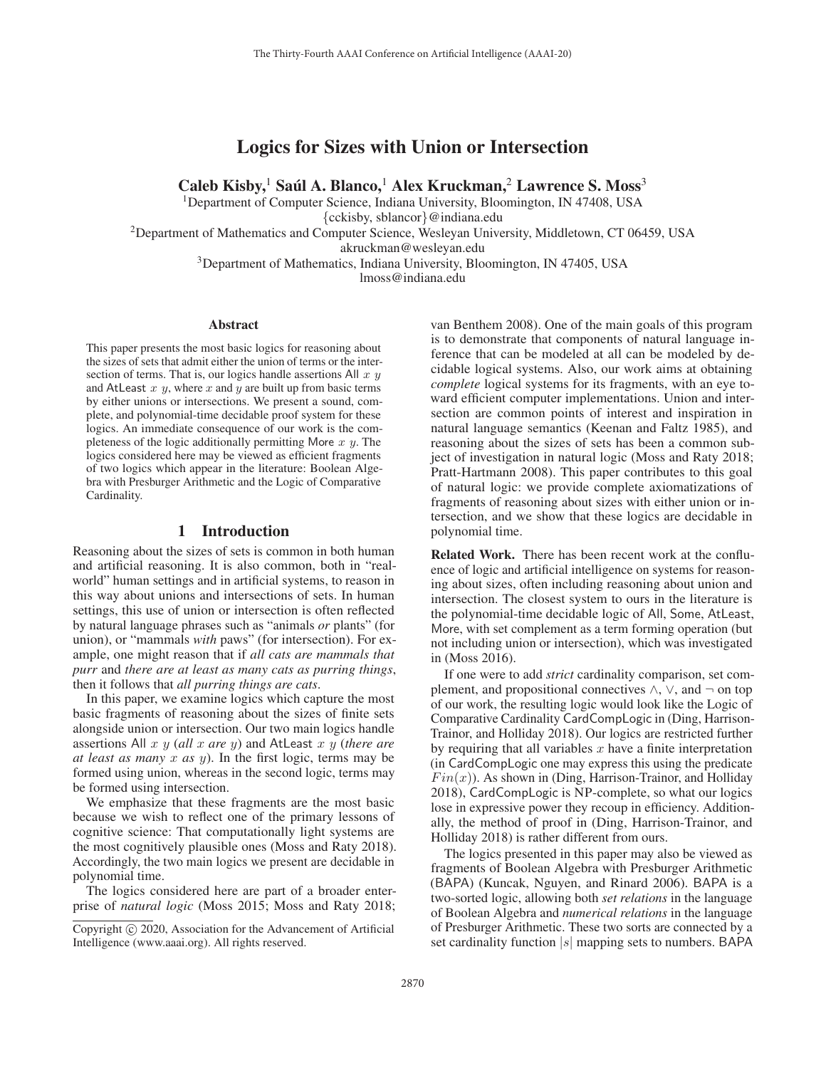# Logics for Sizes with Union or Intersection

Caleb Kisby,<sup>1</sup> Saúl A. Blanco,<sup>1</sup> Alex Kruckman,<sup>2</sup> Lawrence S. Moss<sup>3</sup>

<sup>1</sup>Department of Computer Science, Indiana University, Bloomington, IN 47408, USA

{cckisby, sblancor}@indiana.edu

2Department of Mathematics and Computer Science, Wesleyan University, Middletown, CT 06459, USA

akruckman@wesleyan.edu

<sup>3</sup>Department of Mathematics, Indiana University, Bloomington, IN 47405, USA

lmoss@indiana.edu

#### Abstract

This paper presents the most basic logics for reasoning about the sizes of sets that admit either the union of terms or the intersection of terms. That is, our logics handle assertions All  $x, y$ and AtLeast  $x, y$ , where  $x$  and  $y$  are built up from basic terms by either unions or intersections. We present a sound, complete, and polynomial-time decidable proof system for these logics. An immediate consequence of our work is the completeness of the logic additionally permitting More  $x, y$ . The logics considered here may be viewed as efficient fragments of two logics which appear in the literature: Boolean Algebra with Presburger Arithmetic and the Logic of Comparative Cardinality.

### 1 Introduction

Reasoning about the sizes of sets is common in both human and artificial reasoning. It is also common, both in "realworld" human settings and in artificial systems, to reason in this way about unions and intersections of sets. In human settings, this use of union or intersection is often reflected by natural language phrases such as "animals *or* plants" (for union), or "mammals *with* paws" (for intersection). For example, one might reason that if *all cats are mammals that purr* and *there are at least as many cats as purring things*, then it follows that *all purring things are cats*.

In this paper, we examine logics which capture the most basic fragments of reasoning about the sizes of finite sets alongside union or intersection. Our two main logics handle assertions All x y (*all* x *are* y) and AtLeast x y (*there are at least as many* x *as* y). In the first logic, terms may be formed using union, whereas in the second logic, terms may be formed using intersection.

We emphasize that these fragments are the most basic because we wish to reflect one of the primary lessons of cognitive science: That computationally light systems are the most cognitively plausible ones (Moss and Raty 2018). Accordingly, the two main logics we present are decidable in polynomial time.

The logics considered here are part of a broader enterprise of *natural logic* (Moss 2015; Moss and Raty 2018; van Benthem 2008). One of the main goals of this program is to demonstrate that components of natural language inference that can be modeled at all can be modeled by decidable logical systems. Also, our work aims at obtaining *complete* logical systems for its fragments, with an eye toward efficient computer implementations. Union and intersection are common points of interest and inspiration in natural language semantics (Keenan and Faltz 1985), and reasoning about the sizes of sets has been a common subject of investigation in natural logic (Moss and Raty 2018; Pratt-Hartmann 2008). This paper contributes to this goal of natural logic: we provide complete axiomatizations of fragments of reasoning about sizes with either union or intersection, and we show that these logics are decidable in polynomial time.

Related Work. There has been recent work at the confluence of logic and artificial intelligence on systems for reasoning about sizes, often including reasoning about union and intersection. The closest system to ours in the literature is the polynomial-time decidable logic of All, Some, AtLeast, More, with set complement as a term forming operation (but not including union or intersection), which was investigated in (Moss 2016).

If one were to add *strict* cardinality comparison, set complement, and propositional connectives  $\land$ ,  $\lor$ , and  $\neg$  on top of our work, the resulting logic would look like the Logic of Comparative Cardinality CardCompLogic in (Ding, Harrison-Trainor, and Holliday 2018). Our logics are restricted further by requiring that all variables  $x$  have a finite interpretation (in CardCompLogic one may express this using the predicate  $Fin(x)$ ). As shown in (Ding, Harrison-Trainor, and Holliday 2018), CardCompLogic is NP-complete, so what our logics lose in expressive power they recoup in efficiency. Additionally, the method of proof in (Ding, Harrison-Trainor, and Holliday 2018) is rather different from ours.

The logics presented in this paper may also be viewed as fragments of Boolean Algebra with Presburger Arithmetic (BAPA) (Kuncak, Nguyen, and Rinard 2006). BAPA is a two-sorted logic, allowing both *set relations* in the language of Boolean Algebra and *numerical relations* in the language of Presburger Arithmetic. These two sorts are connected by a set cardinality function  $|s|$  mapping sets to numbers. BAPA

Copyright  $\odot$  2020, Association for the Advancement of Artificial Intelligence (www.aaai.org). All rights reserved.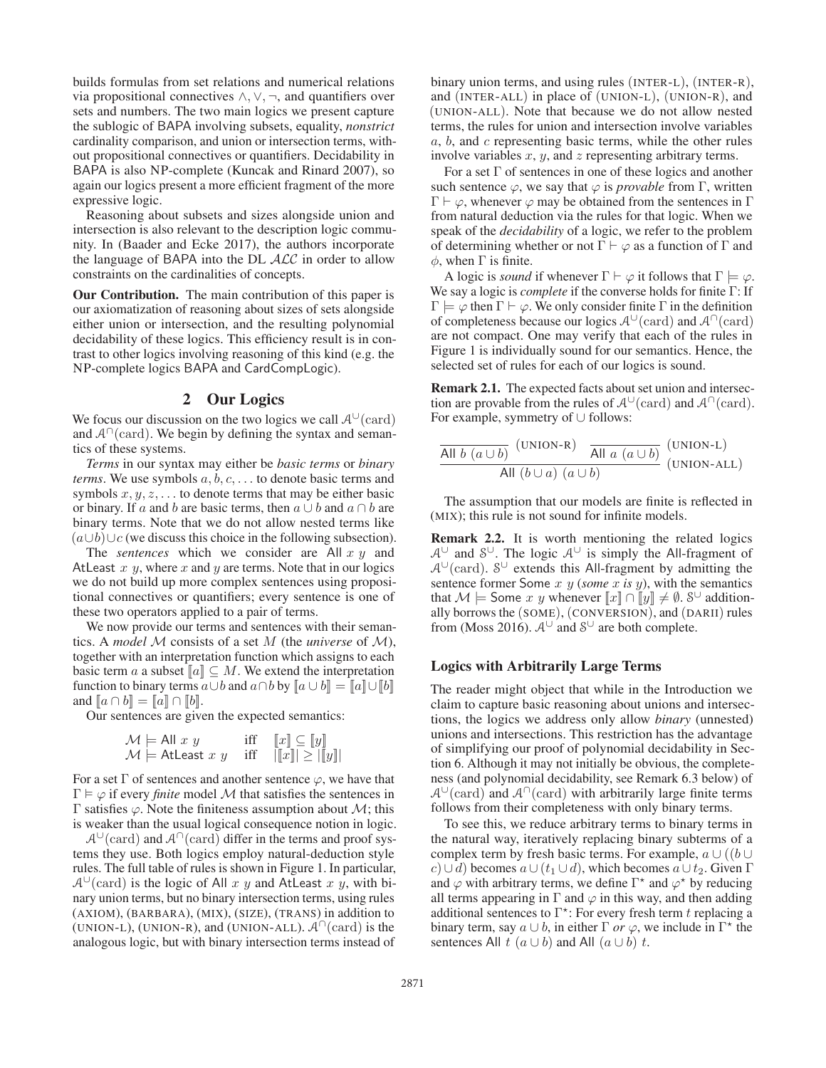builds formulas from set relations and numerical relations via propositional connectives  $\land$ ,  $\lor$ ,  $\neg$ , and quantifiers over sets and numbers. The two main logics we present capture the sublogic of BAPA involving subsets, equality, *nonstrict* cardinality comparison, and union or intersection terms, without propositional connectives or quantifiers. Decidability in BAPA is also NP-complete (Kuncak and Rinard 2007), so again our logics present a more efficient fragment of the more expressive logic.

Reasoning about subsets and sizes alongside union and intersection is also relevant to the description logic community. In (Baader and Ecke 2017), the authors incorporate the language of BAPA into the DL  $ALC$  in order to allow constraints on the cardinalities of concepts.

Our Contribution. The main contribution of this paper is our axiomatization of reasoning about sizes of sets alongside either union or intersection, and the resulting polynomial decidability of these logics. This efficiency result is in contrast to other logics involving reasoning of this kind (e.g. the NP-complete logics BAPA and CardCompLogic).

### 2 Our Logics

We focus our discussion on the two logics we call  $A^{\cup}$  (card) and  $A^{\cap}$ (card). We begin by defining the syntax and semantics of these systems.

*Terms* in our syntax may either be *basic terms* or *binary terms*. We use symbols  $a, b, c, \ldots$  to denote basic terms and symbols  $x, y, z, \ldots$  to denote terms that may be either basic or binary. If a and b are basic terms, then  $a \cup b$  and  $a \cap b$  are binary terms. Note that we do not allow nested terms like  $(a\cup b)\cup c$  (we discuss this choice in the following subsection).

The *sentences* which we consider are All x y and AtLeast  $x$   $y$ , where  $x$  and  $y$  are terms. Note that in our logics we do not build up more complex sentences using propositional connectives or quantifiers; every sentence is one of these two operators applied to a pair of terms.

We now provide our terms and sentences with their semantics. A *model* M consists of a set M (the *universe* of M), together with an interpretation function which assigns to each basic term a a subset  $\llbracket a \rrbracket \subseteq M$ . We extend the interpretation function to binary terms  $a \cup b$  and  $a \cap b$  by  $\|a \cup b\| = \|a\| \cup \|b\|$ and  $[a \cap b] = [a] \cap [b]$ .

Our sentences are given the expected semantics:

$$
\mathcal{M} \models \text{All } x \ y \quad \text{iff} \quad [x] \subseteq [y] \mathcal{M} \models \text{AtLeast } x \ y \quad \text{iff} \quad [[x]] \geq [[y]]
$$

For a set  $\Gamma$  of sentences and another sentence  $\varphi$ , we have that  $\Gamma \models \varphi$  if every *finite* model M that satisfies the sentences in Γ satisfies  $\varphi$ . Note the finiteness assumption about *M*; this is weaker than the usual logical consequence notion in logic.

 $\mathcal{A}^{\cup}(\text{card})$  and  $\mathcal{A}^{\cap}(\text{card})$  differ in the terms and proof systems they use. Both logics employ natural-deduction style rules. The full table of rules is shown in Figure 1. In particular,  $A^{\cup}$ (card) is the logic of All x y and AtLeast x y, with binary union terms, but no binary intersection terms, using rules (AXIOM), (BARBARA), (MIX), (SIZE), (TRANS) in addition to (UNION-L), (UNION-R), and (UNION-ALL).  $\mathcal{A}^{\cap}(\text{card})$  is the analogous logic, but with binary intersection terms instead of

binary union terms, and using rules (INTER-L), (INTER-R), and (INTER-ALL) in place of (UNION-L), (UNION-R), and (UNION-ALL). Note that because we do not allow nested terms, the rules for union and intersection involve variables  $a, b,$  and  $c$  representing basic terms, while the other rules involve variables  $x$ ,  $y$ , and  $z$  representing arbitrary terms.

For a set  $\Gamma$  of sentences in one of these logics and another such sentence  $\varphi$ , we say that  $\varphi$  is *provable* from  $\Gamma$ , written  $\Gamma \vdash \varphi$ , whenever  $\varphi$  may be obtained from the sentences in  $\Gamma$ from natural deduction via the rules for that logic. When we speak of the *decidability* of a logic, we refer to the problem of determining whether or not  $\Gamma \vdash \varphi$  as a function of  $\Gamma$  and  $\phi$ , when  $\Gamma$  is finite.

A logic is *sound* if whenever  $\Gamma \vdash \varphi$  it follows that  $\Gamma \models \varphi$ . We say a logic is *complete* if the converse holds for finite Γ: If  $\Gamma \models \varphi$  then  $\Gamma \vdash \varphi$ . We only consider finite  $\Gamma$  in the definition of completeness because our logics  $A^{\cup}$  (card) and  $A^{\cap}$  (card) are not compact. One may verify that each of the rules in Figure 1 is individually sound for our semantics. Hence, the selected set of rules for each of our logics is sound.

Remark 2.1. The expected facts about set union and intersection are provable from the rules of  $\mathcal{A}^{\cup}(\text{card})$  and  $\mathcal{A}^{\cap}(\text{card})$ . For example, symmetry of ∪ follows:

| All $b(a \cup b)$             | (UNION-R)   | All $a(a \cup b)$ | (UNION-L) |
|-------------------------------|-------------|-------------------|-----------|
| All $(b \cup a)$ $(a \cup b)$ | (UNION-ALL) |                   |           |

The assumption that our models are finite is reflected in (MIX); this rule is not sound for infinite models.

Remark 2.2. It is worth mentioning the related logics  $A^{\cup}$  and  $S^{\cup}$ . The logic  $A^{\cup}$  is simply the All-fragment of  $A^{\cup}$ (card). S<sup>∪</sup> extends this All-fragment by admitting the sentence former Some x y (*some* x *is* y), with the semantics that  $\mathcal{M} \models$  Some x y whenever  $\llbracket x \rrbracket \cap \llbracket y \rrbracket \neq \emptyset$ . S<sup>∪</sup> additionally borrows the (SOME), (CONVERSION), and (DARII) rules from (Moss 2016).  $A^{\cup}$  and  $S^{\cup}$  are both complete.

### Logics with Arbitrarily Large Terms

The reader might object that while in the Introduction we claim to capture basic reasoning about unions and intersections, the logics we address only allow *binary* (unnested) unions and intersections. This restriction has the advantage of simplifying our proof of polynomial decidability in Section 6. Although it may not initially be obvious, the completeness (and polynomial decidability, see Remark 6.3 below) of  $A^{\cup}$ (card) and  $A^{\cap}$ (card) with arbitrarily large finite terms follows from their completeness with only binary terms.

To see this, we reduce arbitrary terms to binary terms in the natural way, iteratively replacing binary subterms of a complex term by fresh basic terms. For example,  $a \cup ((b \cup$  $c)$ ∪d) becomes  $a \cup (t_1 \cup d)$ , which becomes  $a \cup t_2$ . Given  $\Gamma$ and  $\varphi$  with arbitrary terms, we define  $\Gamma^*$  and  $\varphi^*$  by reducing all terms appearing in  $\Gamma$  and  $\varphi$  in this way, and then adding additional sentences to  $\Gamma^*$ : For every fresh term t replacing a binary term, say  $a \cup b$ , in either  $\Gamma$  *or*  $\varphi$ , we include in  $\Gamma^*$  the sentences All  $t$   $(a \cup b)$  and All  $(a \cup b)$   $t$ .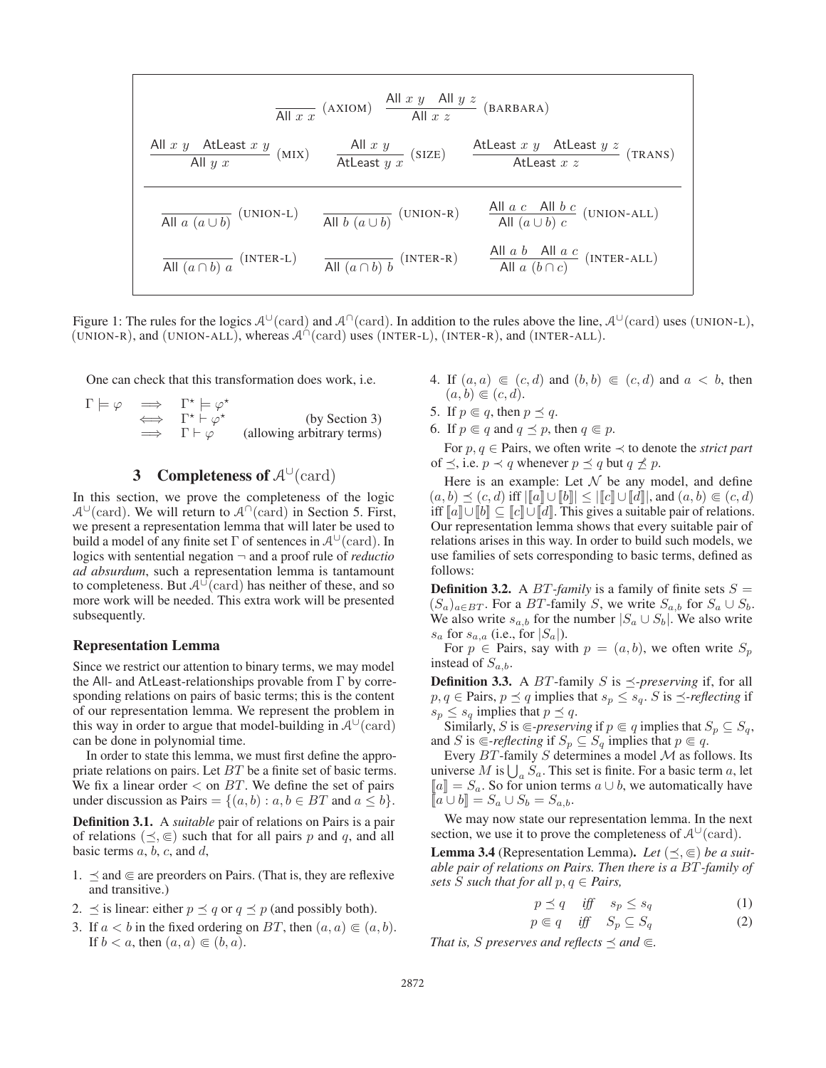| All $x$ $y$                      | All $x$ $x$                      | All $x$ $y$                           | All $x$ $z$ | (BARBARA) |                 |                 |         |
|----------------------------------|----------------------------------|---------------------------------------|-------------|-----------|-----------------|-----------------|---------|
| All $x$ $y$                      | AtLeast $x$ $y$                  | (MIX)                                 | All $x$ $y$ | (SIZE)    | AtLeast $x$ $y$ | AtLeast $x$ $z$ | (TRANS) |
| All $a$ $(a \cup b)$ $(UNION-L)$ | All $b$ $(a \cup b)$ $(UNION-R)$ | All $a$ $c$ All $b$ $c$ $(UNION-ALL)$ |             |           |                 |                 |         |
| All $(a \cap b)$ $a$ $(INTER-L)$ | All $(a \cap b)$ $b$ $(INTER-R)$ | All $a$ $(b \cap c)$ $(INTER-ALL)$    |             |           |                 |                 |         |

Figure 1: The rules for the logics  $A^{\cup}$ (card) and  $A^{\cap}$ (card). In addition to the rules above the line,  $A^{\cup}$ (card) uses (UNION-L), (UNION-R), and (UNION-ALL), whereas  $\mathcal{A}^{\cap}$  (card) uses (INTER-L), (INTER-R), and (INTER-ALL).

One can check that this transformation does work, i.e.

$$
\Gamma \models \varphi \implies \Gamma^* \models \varphi^* \n\Leftrightarrow \Gamma^* \vdash \varphi^* \qquad \text{(by Section 3)}\n\implies \Gamma \vdash \varphi \qquad \text{(allowing arbitrary terms)}
$$

# 3 Completeness of  $A^{\cup}$ (card)

In this section, we prove the completeness of the logic  $\mathcal{A}^{\cup}$ (card). We will return to  $\mathcal{A}^{\cap}$ (card) in Section 5. First, we present a representation lemma that will later be used to build a model of any finite set  $\Gamma$  of sentences in  $\mathcal{A}^{\cup}(\text{card})$ . In logics with sentential negation ¬ and a proof rule of *reductio ad absurdum*, such a representation lemma is tantamount to completeness. But  $A^{\cup}$ (card) has neither of these, and so more work will be needed. This extra work will be presented subsequently.

#### Representation Lemma

Since we restrict our attention to binary terms, we may model the All- and AtLeast-relationships provable from Γ by corresponding relations on pairs of basic terms; this is the content of our representation lemma. We represent the problem in this way in order to argue that model-building in  $\mathcal{A}^{\cup}(\text{card})$ can be done in polynomial time.

In order to state this lemma, we must first define the appropriate relations on pairs. Let BT be a finite set of basic terms. We fix a linear order  $\lt$  on BT. We define the set of pairs under discussion as Pairs =  $\{(a, b) : a, b \in BT \text{ and } a \leq b\}.$ 

Definition 3.1. A *suitable* pair of relations on Pairs is a pair of relations  $(\preceq, \in)$  such that for all pairs p and q, and all basic terms  $a, b, c$ , and  $d$ ,

- 1.  $\preceq$  and  $\in$  are preorders on Pairs. (That is, they are reflexive and transitive.)
- 2.  $\preceq$  is linear: either  $p \preceq q$  or  $q \preceq p$  (and possibly both).
- 3. If  $a < b$  in the fixed ordering on BT, then  $(a, a) \in (a, b)$ . If  $b < a$ , then  $(a, a) \in (b, a)$ .
- 4. If  $(a, a) \in (c, d)$  and  $(b, b) \in (c, d)$  and  $a < b$ , then  $(a, b) \in (c, d).$
- 5. If  $p \in q$ , then  $p \preceq q$ .
- 6. If  $p \in q$  and  $q \leq p$ , then  $q \in p$ .

For p, q ∈ Pairs, we often write ≺ to denote the *strict part* of  $\preceq$ , i.e.  $p \prec q$  whenever  $p \preceq q$  but  $q \not\preceq p$ .

Here is an example: Let  $N$  be any model, and define  $(a, b) \preceq (c, d)$  iff  $\|\tilde{a}\| \cup \|b\| \leq \|\tilde{c}\| \cup \|\tilde{d}\|$ , and  $(a, b) \in (c, d)$ iff  $[[a] \cup [b]] \subseteq [[c]] \cup [[d]]$ . This gives a suitable pair of relations. Our representation lemma shows that every suitable pair of relations arises in this way. In order to build such models, we use families of sets corresponding to basic terms, defined as follows:

**Definition 3.2.** A *BT*-family is a family of finite sets  $S =$  $(S_a)_{a \in BT}$ . For a BT-family S, we write  $S_{a,b}$  for  $S_a \cup S_b$ . We also write  $s_{a,b}$  for the number  $|S_a \cup S_b|$ . We also write  $s_a$  for  $s_{a,a}$  (i.e., for  $|S_a|$ ).

For  $p \in$  Pairs, say with  $p = (a, b)$ , we often write  $S_p$ instead of  $S_{a,b}$ .

**Definition 3.3.** A BT-family S is  $\leq$ -preserving if, for all  $p, q \in$  Pairs,  $p \preceq q$  implies that  $s_p \leq s_q$ . S is  $\preceq$ -reflecting if  $s_p \leq s_q$  implies that  $p \leq q$ .

Similarly, S is  $\subseteq$ -preserving if  $p \in q$  implies that  $S_p \subseteq S_q$ , and S is  $\in$ *-reflecting* if  $S_p \subseteq S_q$  implies that  $p \in q$ .

Every  $BT$ -family  $S$  determines a model  $M$  as follows. Its universe M is  $\bigcup_a \check{S}_a$ . This set is finite. For a basic term a, let  $\llbracket a \rrbracket = S_a$ . So for union terms  $a \cup b$ , we automatically have  $[a \cup b] = S_a \cup S_b = S_{a,b}.$ 

We may now state our representation lemma. In the next section, we use it to prove the completeness of  $A^{\cup}(\text{card})$ .

**Lemma 3.4** (Representation Lemma). Let  $(\preceq, \in)$  be a suit*able pair of relations on Pairs. Then there is a* BT*-family of sets S such that for all*  $p, q \in$  *Pairs,* 

$$
p \preceq q \quad \text{iff} \quad s_p \le s_q \tag{1}
$$

$$
p \in q \quad \text{iff} \quad S_p \subseteq S_q \tag{2}
$$

*That is, S preserves and reflects*  $\preceq$  *and*  $\in$ *.*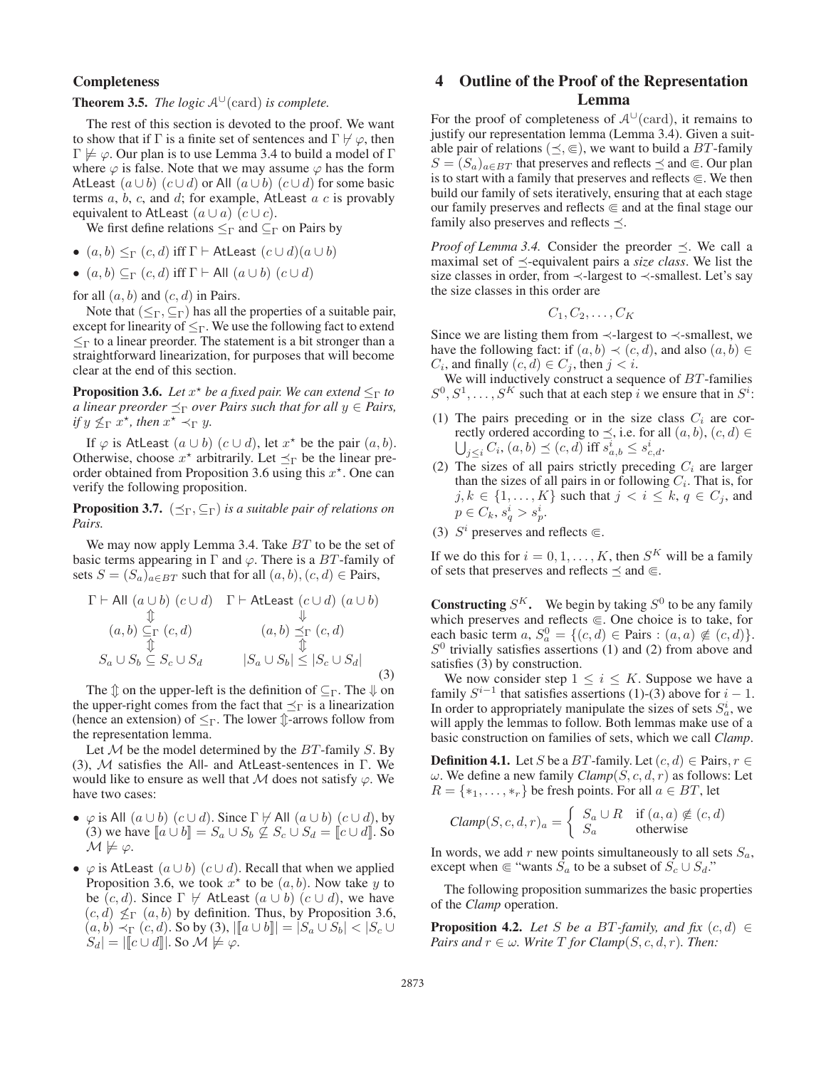### Completeness

**Theorem 3.5.** *The logic*  $A^{\cup}$  (card) *is complete.* 

The rest of this section is devoted to the proof. We want to show that if  $\Gamma$  is a finite set of sentences and  $\Gamma \not\vdash \varphi$ , then  $\Gamma \not\models \varphi$ . Our plan is to use Lemma 3.4 to build a model of  $\Gamma$ where  $\varphi$  is false. Note that we may assume  $\varphi$  has the form AtLeast  $(a \cup b)$   $(c \cup d)$  or All  $(a \cup b)$   $(c \cup d)$  for some basic terms  $a, b, c$ , and  $d$ ; for example, AtLeast  $a \, c$  is provably equivalent to AtLeast  $(a \cup a)$   $(c \cup c)$ .

We first define relations  $\leq_\Gamma$  and  $\subseteq_\Gamma$  on Pairs by

- $(a, b) \leq_{\Gamma} (c, d)$  iff  $\Gamma \vdash$  AtLeast  $(c \cup d)(a \cup b)$
- $(a, b) \subseteq_{\Gamma} (c, d)$  iff  $\Gamma \vdash$  All  $(a \cup b) (c \cup d)$

for all  $(a, b)$  and  $(c, d)$  in Pairs.

Note that  $(\leq_{\Gamma}, \subseteq_{\Gamma})$  has all the properties of a suitable pair, except for linearity of  $\leq_{\Gamma}$ . We use the following fact to extend  $\leq_{\Gamma}$  to a linear preorder. The statement is a bit stronger than a straightforward linearization, for purposes that will become clear at the end of this section.

**Proposition 3.6.** Let  $x^*$  be a fixed pair. We can extend  $\leq_\Gamma$  to *a linear preorder*  $\preceq_{\Gamma}$  *over Pairs such that for all*  $y \in$  *Pairs, if*  $y \nleq_\Gamma x^*$ , then  $x^+ \nleq_\Gamma y$ .

If  $\varphi$  is AtLeast  $(a \cup b)$   $(c \cup d)$ , let  $x^*$  be the pair  $(a, b)$ . Otherwise, choose  $x^*$  arbitrarily. Let  $\preceq_{\Gamma}$  be the linear preorder obtained from Proposition 3.6 using this  $x^*$ . One can verify the following proposition.

**Proposition 3.7.**  $(\preceq_{\Gamma}, \subseteq_{\Gamma})$  *is a suitable pair of relations on Pairs.*

We may now apply Lemma 3.4. Take BT to be the set of basic terms appearing in  $\Gamma$  and  $\varphi$ . There is a  $BT$ -family of sets  $S = (S_a)_{a \in BT}$  such that for all  $(a, b), (c, d) \in Pairs$ ,

$$
\Gamma \vdash \text{All } (a \cup b) (c \cup d) \quad \Gamma \vdash \text{AtLeast } (c \cup d) (a \cup b)
$$
\n
$$
\Downarrow \qquad \qquad \Downarrow
$$
\n
$$
(a, b) \subseteq_{\Gamma} (c, d) \qquad \qquad (a, b) \leq_{\Gamma} (c, d)
$$
\n
$$
S_a \cup S_b \subseteq S_c \cup S_d \qquad |S_a \cup S_b| \leq |S_c \cup S_d|
$$
\n(3)

The  $\hat{\psi}$  on the upper-left is the definition of  $\subseteq_{\Gamma}$ . The  $\psi$  on the upper-right comes from the fact that  $\preceq_{\Gamma}$  is a linearization (hence an extension) of  $\leq_{\Gamma}$ . The lower  $\hat{\mathcal{L}}$ -arrows follow from the representation lemma.

Let  $M$  be the model determined by the  $BT$ -family  $S$ . By (3), M satisfies the All- and AtLeast-sentences in Γ. We would like to ensure as well that  $M$  does not satisfy  $\varphi$ . We have two cases:

- $\varphi$  is All  $(a \cup b)$   $(c \cup d)$ . Since  $\Gamma \nvdash A \rvert (a \cup b)$   $(c \cup d)$ , by (3) we have  $[a \cup b] = S_a \cup S_b \nsubseteq S_c \cup S_d = [c \cup d]$ . So  $\mathcal{M} \not\models \varphi.$
- $\varphi$  is AtLeast  $(a \cup b)$   $(c \cup d)$ . Recall that when we applied Proposition 3.6, we took  $x^*$  to be  $(a, b)$ . Now take y to be  $(c, d)$ . Since  $\Gamma \not\vdash$  AtLeast  $(a \cup b)$   $(c \cup d)$ , we have  $(c, d) \nleq_{\Gamma} (a, b)$  by definition. Thus, by Proposition 3.6,  $(a, b) \prec_{\Gamma} (c, d)$ . So by (3),  $\left\| [a \cup b] \right\| = |S_a \cup S_b| < |S_c \cup$  $S_d$  =  $\vert \vert \vert c \cup d \vert \vert$ . So  $\mathcal{M} \not\models \varphi$ .

## 4 Outline of the Proof of the Representation Lemma

For the proof of completeness of  $\mathcal{A}^{\cup}(\text{card})$ , it remains to justify our representation lemma (Lemma 3.4). Given a suitable pair of relations ( $\leq$ ,  $\in$ ), we want to build a *BT*-family  $S = (S_a)_{a \in BT}$  that preserves and reflects  $\preceq$  and  $\in$ . Our plan is to start with a family that preserves and reflects  $\in$ . We then build our family of sets iteratively, ensuring that at each stage our family preserves and reflects  $\in$  and at the final stage our family also preserves and reflects  $\preceq$ .

*Proof of Lemma 3.4.* Consider the preorder  $\preceq$ . We call a maximal set of  $\preceq$ -equivalent pairs a *size class*. We list the size classes in order, from  $\prec$ -largest to  $\prec$ -smallest. Let's say the size classes in this order are

$$
C_1, C_2, \ldots, C_K
$$

Since we are listing them from  $\prec$ -largest to  $\prec$ -smallest, we have the following fact: if  $(a, b) \prec (c, d)$ , and also  $(a, b) \in$  $C_i$ , and finally  $(c, d) \in C_j$ , then  $j < i$ .

We will inductively construct a sequence of BT-families  $S^0, S^1, \ldots, S^K$  such that at each step i we ensure that in  $S^i$ :

- (1) The pairs preceding or in the size class  $C_i$  are correctly ordered according to  $\preceq$ , i.e. for all  $(a, b)$ ,  $(c, d) \in$  $\bigcup_{j\leq i} C_i$ ,  $(a, b) \preceq (c, d)$  iff  $\overline{s}_{a,b}^i \leq s_{c,d}^i$ .
- (2) The sizes of all pairs strictly preceding  $C_i$  are larger than the sizes of all pairs in or following  $C_i$ . That is, for  $j, k \in \{1, \ldots, K\}$  such that  $j < i \leq k, q \in C_j$ , and  $p \in C_k, s_q^i > s_p^i.$
- (3)  $S^i$  preserves and reflects  $\in$ .

If we do this for  $i = 0, 1, ..., K$ , then  $S<sup>K</sup>$  will be a family of sets that preserves and reflects  $\preceq$  and  $\in$ .

**Constructing**  $S^K$ . We begin by taking  $S^0$  to be any family which preserves and reflects  $\in$ . One choice is to take, for each basic term  $a, S_a^0 = \{(c, d) \in \text{Pairs} : (a, a) \notin (c, d)\}.$  $S<sup>0</sup>$  trivially satisfies assertions (1) and (2) from above and satisfies (3) by construction.

We now consider step  $1 \leq i \leq K$ . Suppose we have a family  $S^{i-1}$  that satisfies assertions (1)-(3) above for  $i-1$ . In order to appropriately manipulate the sizes of sets  $S_a^i$ , we will apply the lemmas to follow. Both lemmas make use of a basic construction on families of sets, which we call *Clamp*.

**Definition 4.1.** Let S be a BT-family. Let  $(c, d) \in \text{Pairs}, r \in$  $ω$ . We define a new family *Clamp*(*S*, *c*, *d*, *r*) as follows: Let  $R = \{*_1, \ldots, *_r \}$  be fresh points. For all  $a \in BT$ , let

$$
Clamp(S, c, d, r)a = \begin{cases} S_a \cup R & \text{if } (a, a) \notin (c, d) \\ S_a & \text{otherwise} \end{cases}
$$

In words, we add r new points simultaneously to all sets  $S_a$ , except when  $\in$  "wants  $S_a$  to be a subset of  $S_c \cup S_d$ ."

The following proposition summarizes the basic properties of the *Clamp* operation.

**Proposition 4.2.** *Let* S *be a BT*-family, and fix  $(c, d) \in$ *Pairs and*  $r \in \omega$ *. Write T for Clamp*(*S, c, d, r*)*. Then:*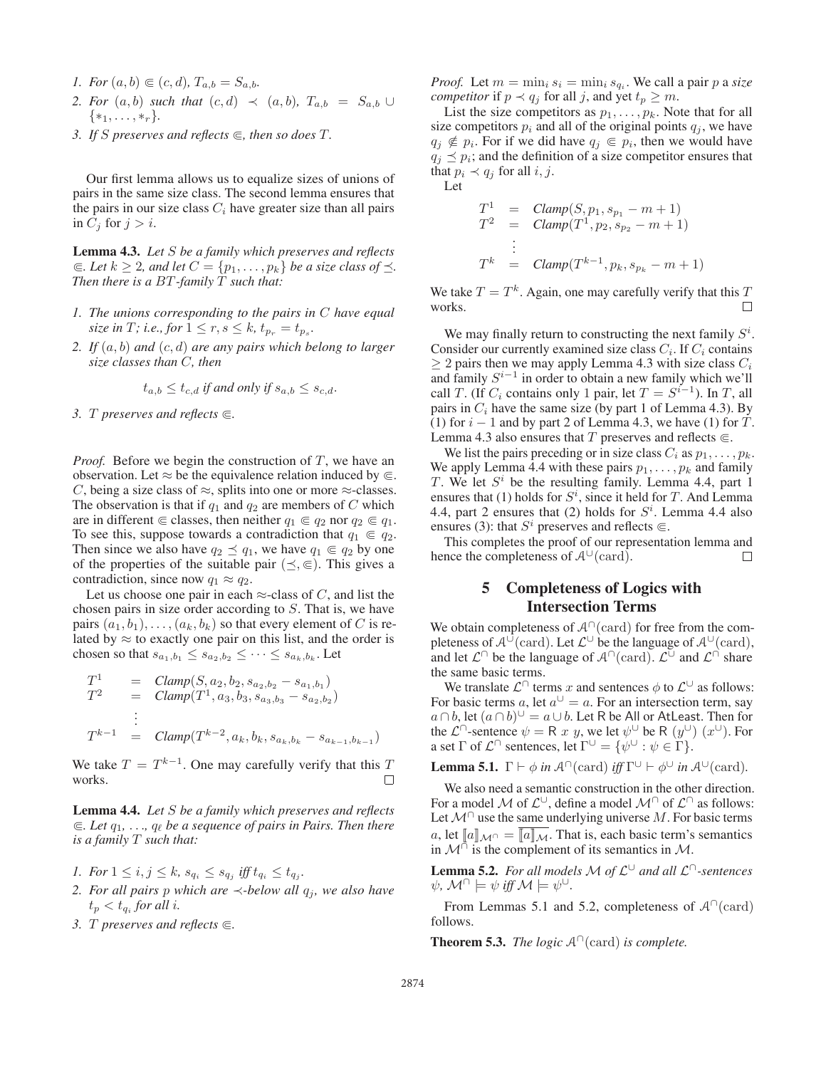- *1. For*  $(a, b) \in (c, d)$ ,  $T_{a,b} = S_{a,b}$ .
- *2. For*  $(a, b)$  *such that*  $(c, d) \prec (a, b)$ ,  $T_{a,b} = S_{a,b} \cup$  $\{*_1, \ldots, *_r\}.$
- *3. If S* preserves and reflects  $\subseteq$ , then so does *T*.

Our first lemma allows us to equalize sizes of unions of pairs in the same size class. The second lemma ensures that the pairs in our size class  $C_i$  have greater size than all pairs in  $C_i$  for  $j>i$ .

Lemma 4.3. *Let* S *be a family which preserves and reflects*  $\subseteq$ *. Let*  $k \geq 2$ *, and let*  $C = \{p_1, \ldots, p_k\}$  *be a size class of*  $\preceq$ *. Then there is a BT-family*  $\overline{T}$  *such that:* 

- *1. The unions corresponding to the pairs in* C *have equal size in T; i.e., for*  $1 \le r, s \le k, t_{p_r} = t_{p_s}$ .
- *2. If* (a, b) *and* (c, d) *are any pairs which belong to larger size classes than* C*, then*

$$
t_{a,b} \le t_{c,d} \text{ if and only if } s_{a,b} \le s_{c,d}.
$$

*3.* T *preserves and reflects .*

*Proof.* Before we begin the construction of T, we have an observation. Let  $\approx$  be the equivalence relation induced by  $\in$ . C, being a size class of  $\approx$ , splits into one or more  $\approx$ -classes. The observation is that if  $q_1$  and  $q_2$  are members of C which are in different  $\in$  classes, then neither  $q_1 \in q_2$  nor  $q_2 \in q_1$ . To see this, suppose towards a contradiction that  $q_1 \in q_2$ . Then since we also have  $q_2 \preceq q_1$ , we have  $q_1 \in q_2$  by one of the properties of the suitable pair  $(\preceq, \in)$ . This gives a contradiction, since now  $q_1 \approx q_2$ .

Let us choose one pair in each  $\approx$ -class of C, and list the chosen pairs in size order according to S. That is, we have pairs  $(a_1, b_1), \ldots, (a_k, b_k)$  so that every element of C is related by  $\approx$  to exactly one pair on this list, and the order is chosen so that  $s_{a_1,b_1} \leq s_{a_2,b_2} \leq \cdots \leq s_{a_k,b_k}$ . Let

$$
T^{1} = Clamp(S, a_{2}, b_{2}, s_{a_{2}, b_{2}} - s_{a_{1}, b_{1}})
$$
  
\n
$$
T^{2} = Clamp(T^{1}, a_{3}, b_{3}, s_{a_{3}, b_{3}} - s_{a_{2}, b_{2}})
$$
  
\n
$$
\vdots
$$
  
\n
$$
T^{k-1} = Clamp(T^{k-2}, a_{k}, b_{k}, s_{a_{k}, b_{k}} - s_{a_{k-1}, b_{k-1}})
$$

We take  $T = T^{k-1}$ . One may carefully verify that this T works.

Lemma 4.4. *Let* S *be a family which preserves and reflects*  $\subseteq$ *. Let*  $q_1, \ldots, q_\ell$  be a sequence of pairs in Pairs. Then there *is a family* T *such that:*

- *1. For*  $1 \le i, j \le k$ ,  $s_{q_i} \le s_{q_j}$  *iff*  $t_{q_i} \le t_{q_j}$ *.*
- *2. For all pairs p which are*  $\prec$ *-below all q<sub>i</sub>, we also have*  $t_p < t_{q_i}$  *for all i.*
- *3. T preserves and reflects*  $\in$ *.*

*Proof.* Let  $m = \min_i s_i = \min_i s_{q_i}$ . We call a pair p a size *competitor* if  $p \prec q_j$  for all j, and yet  $t_p \geq m$ .

List the size competitors as  $p_1, \ldots, p_k$ . Note that for all size competitors  $p_i$  and all of the original points  $q_i$ , we have  $q_i \notin p_i$ . For if we did have  $q_i \in p_i$ , then we would have  $q_j \preceq p_i$ ; and the definition of a size competitor ensures that that  $p_i \prec q_j$  for all  $i, j$ . Let

> $T_{.}^{1}$  = *Clamp* $(S, p_1, s_{p_1} - m + 1)$  $T^2$  =  $Clamp(T^1, p_2, s_{p_2} - m + 1)$ . . .  $T^k$  = *Clamp* $(T^{k-1}, p_k, s_{p_k} - m + 1)$

We take  $T = T<sup>k</sup>$ . Again, one may carefully verify that this T works.  $\Box$ 

We may finally return to constructing the next family  $S^i$ . Consider our currently examined size class  $C_i$ . If  $C_i$  contains  $\geq 2$  pairs then we may apply Lemma 4.3 with size class  $C_i$ and family  $S^{i-1}$  in order to obtain a new family which we'll call T. (If  $C_i$  contains only 1 pair, let  $T = S^{i-1}$ ). In T, all pairs in  $C_i$  have the same size (by part 1 of Lemma 4.3). By (1) for  $i - 1$  and by part 2 of Lemma 4.3, we have (1) for T. Lemma 4.3 also ensures that T preserves and reflects  $\in$ .

We list the pairs preceding or in size class  $C_i$  as  $p_1, \ldots, p_k$ . We apply Lemma 4.4 with these pairs  $p_1, \ldots, p_k$  and family T. We let  $S<sup>i</sup>$  be the resulting family. Lemma 4.4, part 1 ensures that (1) holds for  $S^i$ , since it held for T. And Lemma 4.4, part 2 ensures that (2) holds for  $S<sup>i</sup>$ . Lemma 4.4 also ensures (3): that  $S^i$  preserves and reflects  $\in$ .

This completes the proof of our representation lemma and hence the completeness of  $\mathcal{A}^{\cup}(\text{card})$ . П

## 5 Completeness of Logics with Intersection Terms

We obtain completeness of  $A^{\cap}$  (card) for free from the completeness of  $A^{\cup}(\text{card})$ . Let  $\mathcal{L}^{\cup}$  be the language of  $\mathcal{A}^{\cup}(\text{card})$ , and let  $\mathcal{L}^{\cap}$  be the language of  $\mathcal{A}^{\cap}(\text{card})$ .  $\mathcal{L}^{\cup}$  and  $\mathcal{L}^{\cap}$  share the same basic terms.

We translate  $\mathcal{L}^{\cap}$  terms x and sentences  $\phi$  to  $\mathcal{L}^{\cup}$  as follows: For basic terms a, let  $a^{\cup} = a$ . For an intersection term, say  $a \cap b$ , let  $(a \cap b)$ <sup>∪</sup> =  $a \cup b$ . Let R be All or AtLeast. Then for the  $\mathcal{L}^{\cap}$ -sentence  $\psi = \mathsf{R} \; x \; y$ , we let  $\psi^{\cup}$  be  $\mathsf{R} \; (y^{\cup}) \; (x^{\cup})$ . For a set  $\Gamma$  of  $\mathcal{L}^{\cap}$  sentences, let  $\Gamma^{\cup} = \{ \psi^{\cup} : \psi \in \Gamma \}.$ 

**Lemma 5.1.**  $\Gamma \vdash \phi$  *in*  $\mathcal{A}^{\cap}(\text{card})$  *iff*  $\Gamma^{\cup} \vdash \phi^{\cup}$  *in*  $\mathcal{A}^{\cup}(\text{card})$ *.* 

We also need a semantic construction in the other direction. For a model M of  $\mathcal{L}^{\cup}$ , define a model  $\mathcal{M}^{\cap}$  of  $\mathcal{L}^{\cap}$  as follows: Let  $\mathcal{M}^{\cap}$  use the same underlying universe  $M$ . For basic terms a, let  $\llbracket a \rrbracket_{\mathcal{M}^{\cap}} = \llbracket a \rrbracket_{\mathcal{M}}$ . That is, each basic term's semantics in  $\mathcal{M}^{\cap}$  is the complement of its semantics in  $\mathcal{M}$ .

Lemma 5.2. *For all models* M *of* L<sup>∪</sup> *and all* L∩*-sentences*  $\psi$ *,*  $\mathcal{M}^{\cap} \models \psi$  *iff*  $\mathcal{M} \models \psi^{\cup}$ *.* 

From Lemmas 5.1 and 5.2, completeness of  $\mathcal{A}^{\cap}(\text{card})$ follows.

**Theorem 5.3.** *The logic*  $A^{\cap}$ (card) *is complete.*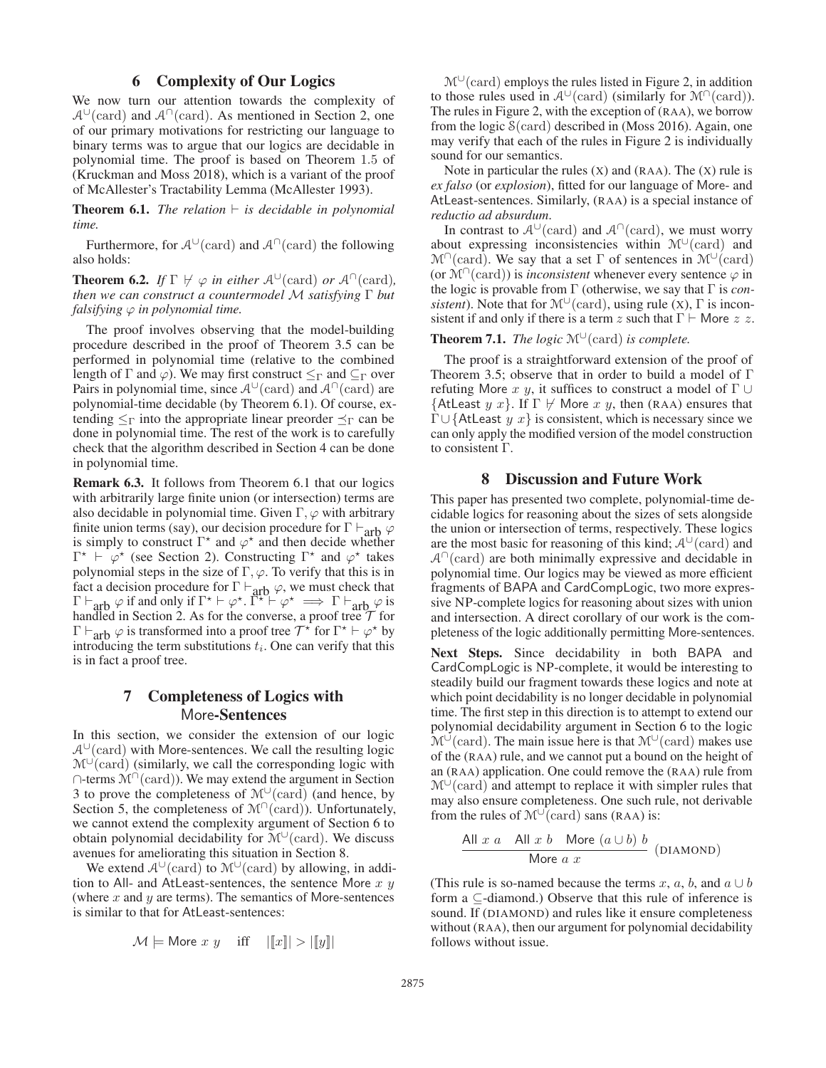### 6 Complexity of Our Logics

We now turn our attention towards the complexity of  $\mathcal{A}^{\cup}$ (card) and  $\mathcal{A}^{\cap}$ (card). As mentioned in Section 2, one of our primary motivations for restricting our language to binary terms was to argue that our logics are decidable in polynomial time. The proof is based on Theorem 1.5 of (Kruckman and Moss 2018), which is a variant of the proof of McAllester's Tractability Lemma (McAllester 1993).

**Theorem 6.1.** *The relation*  $\vdash$  *is decidable in polynomial time.*

Furthermore, for  $A^{\cup}$ (card) and  $A^{\cap}$ (card) the following also holds:

**Theorem 6.2.** *If*  $\Gamma \nvdash \varphi$  *in either*  $\mathcal{A}^{\cup}(\text{card})$  *or*  $\mathcal{A}^{\cap}(\text{card})$ *, then we can construct a countermodel* M *satisfying* Γ *but falsifying*  $\varphi$  *in polynomial time.* 

The proof involves observing that the model-building procedure described in the proof of Theorem 3.5 can be performed in polynomial time (relative to the combined length of  $\Gamma$  and  $\varphi$ ). We may first construct  $\leq_{\Gamma}$  and  $\subseteq_{\Gamma}$  over Pairs in polynomial time, since  $A^{\cup}(\text{card})$  and  $A^{\cap}(\text{card})$  are polynomial-time decidable (by Theorem 6.1). Of course, extending  $\leq_\Gamma$  into the appropriate linear preorder  $\preceq_\Gamma$  can be done in polynomial time. The rest of the work is to carefully check that the algorithm described in Section 4 can be done in polynomial time.

Remark 6.3. It follows from Theorem 6.1 that our logics with arbitrarily large finite union (or intersection) terms are also decidable in polynomial time. Given  $\Gamma$ ,  $\varphi$  with arbitrary finite union terms (say), our decision procedure for  $\Gamma \vdash_{\text{arb}} \varphi$ is simply to construct  $\Gamma^*$  and  $\varphi^*$  and then decide whether  $\Gamma^* \vdash \varphi^*$  (see Section 2). Constructing  $\Gamma^*$  and  $\varphi^*$  takes polynomial steps in the size of  $\Gamma$ ,  $\varphi$ . To verify that this is in fact a decision procedure for  $\Gamma \vdash_{\text{arb}} \varphi$ , we must check that  $\Gamma \vdash_{\text{arb}} \varphi$  if and only if  $\Gamma^* \vdash \varphi^* \colon \Gamma^* \vdash \varphi^* \implies \Gamma \vdash_{\text{arb}} \varphi$  is handled in Section 2. As for the converse, a proof tree  $\mathcal T$  for  $\Gamma \vdash_{\text{arb}} \varphi$  is transformed into a proof tree  $\mathcal{T}^*$  for  $\Gamma^* \vdash \varphi^*$  by introducing the term substitutions  $t_i$ . One can verify that this is in fact a proof tree.

## 7 Completeness of Logics with More-Sentences

In this section, we consider the extension of our logic  $A<sup>∪</sup>(card)$  with More-sentences. We call the resulting logic  $M^{\cup}$ (card) (similarly, we call the corresponding logic with ∩-terms  $\mathcal{M}^{\cap}(\text{card})$ ). We may extend the argument in Section 3 to prove the completeness of  $\mathcal{M}^{\cup}(\text{card})$  (and hence, by Section 5, the completeness of  $\mathcal{M}^{\cap}(\text{card})$ ). Unfortunately, we cannot extend the complexity argument of Section 6 to obtain polynomial decidability for M∪(card). We discuss avenues for ameliorating this situation in Section 8.

We extend  $A^{\cup}$ (card) to  $\mathcal{M}^{\cup}$ (card) by allowing, in addition to All- and AtLeast-sentences, the sentence More  $x, y$ (where  $x$  and  $y$  are terms). The semantics of More-sentences is similar to that for AtLeast-sentences:

$$
\mathcal{M} \models \text{More } x \ y \quad \text{ iff } \quad ||[x]|| > ||[y]||
$$

 $M^{\cup}$ (card) employs the rules listed in Figure 2, in addition to those rules used in  $A^{\cup}$ (card) (similarly for M<sup>∩</sup>(card)). The rules in Figure 2, with the exception of (RAA), we borrow from the logic S(card) described in (Moss 2016). Again, one may verify that each of the rules in Figure 2 is individually sound for our semantics.

Note in particular the rules  $(X)$  and  $(RAA)$ . The  $(X)$  rule is *ex falso* (or *explosion*), fitted for our language of More- and AtLeast-sentences. Similarly, (RAA) is a special instance of *reductio ad absurdum*.

In contrast to  $A^{\cup}$ (card) and  $A^{\cap}$ (card), we must worry about expressing inconsistencies within  $\mathcal{M}^{\cup}(\text{card})$  and  $\mathcal{M}^{\cap}$ (card). We say that a set  $\Gamma$  of sentences in  $\mathcal{M}^{\cup}$ (card) (or  $\mathcal{M}^{\cap}(\text{card})$ ) is *inconsistent* whenever every sentence  $\varphi$  in the logic is provable from Γ (otherwise, we say that Γ is *consistent*). Note that for  $\mathcal{M}^{\cup}(\text{card})$ , using rule (X),  $\Gamma$  is inconsistent if and only if there is a term z such that  $\Gamma \vdash$  More z z.

#### **Theorem 7.1.** *The logic*  $\mathcal{M}^{\cup}$  (card) *is complete.*

The proof is a straightforward extension of the proof of Theorem 3.5; observe that in order to build a model of Γ refuting More x y, it suffices to construct a model of  $\Gamma \cup$ {AtLeast  $y x$ }. If  $\Gamma \not\vdash$  More  $x y$ , then (RAA) ensures that  $\Gamma \cup \{$ AtLeast  $y\ x\}$  is consistent, which is necessary since we can only apply the modified version of the model construction to consistent Γ.

### 8 Discussion and Future Work

This paper has presented two complete, polynomial-time decidable logics for reasoning about the sizes of sets alongside the union or intersection of terms, respectively. These logics are the most basic for reasoning of this kind;  $A^{\cup}$  (card) and  $A^{\cap}$ (card) are both minimally expressive and decidable in polynomial time. Our logics may be viewed as more efficient fragments of BAPA and CardCompLogic, two more expressive NP-complete logics for reasoning about sizes with union and intersection. A direct corollary of our work is the completeness of the logic additionally permitting More-sentences.

Next Steps. Since decidability in both BAPA and CardCompLogic is NP-complete, it would be interesting to steadily build our fragment towards these logics and note at which point decidability is no longer decidable in polynomial time. The first step in this direction is to attempt to extend our polynomial decidability argument in Section 6 to the logic  $M^{\cup}$ (card). The main issue here is that  $M^{\cup}$ (card) makes use of the (RAA) rule, and we cannot put a bound on the height of an (RAA) application. One could remove the (RAA) rule from  $M^{\cup}$ (card) and attempt to replace it with simpler rules that may also ensure completeness. One such rule, not derivable from the rules of  $\mathcal{M}^{\cup}(\text{card})$  sans (RAA) is:

$$
\frac{\text{All } x \ a - \text{All } x \ b - \text{More } (a \cup b) \ b}{\text{More } a \ x} \ \text{(DIAMOND)}
$$

(This rule is so-named because the terms x, a, b, and  $a \cup b$ form a ⊆-diamond.) Observe that this rule of inference is sound. If (DIAMOND) and rules like it ensure completeness without (RAA), then our argument for polynomial decidability follows without issue.